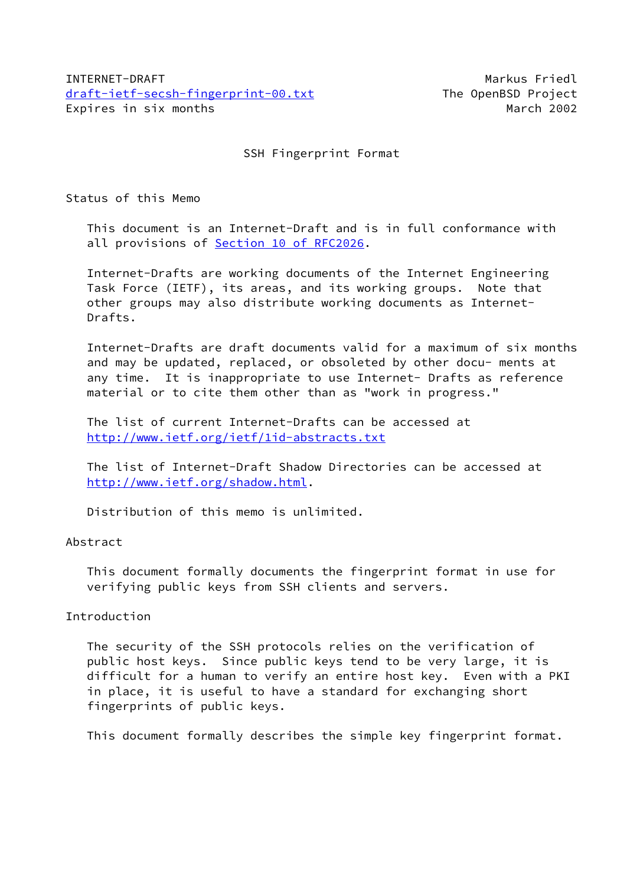SSH Fingerprint Format

Status of this Memo

 This document is an Internet-Draft and is in full conformance with all provisions of Section [10 of RFC2026.](https://datatracker.ietf.org/doc/pdf/rfc2026#section-10)

 Internet-Drafts are working documents of the Internet Engineering Task Force (IETF), its areas, and its working groups. Note that other groups may also distribute working documents as Internet- Drafts.

 Internet-Drafts are draft documents valid for a maximum of six months and may be updated, replaced, or obsoleted by other docu- ments at any time. It is inappropriate to use Internet- Drafts as reference material or to cite them other than as "work in progress."

 The list of current Internet-Drafts can be accessed at <http://www.ietf.org/ietf/1id-abstracts.txt>

 The list of Internet-Draft Shadow Directories can be accessed at <http://www.ietf.org/shadow.html>.

Distribution of this memo is unlimited.

## Abstract

 This document formally documents the fingerprint format in use for verifying public keys from SSH clients and servers.

## Introduction

 The security of the SSH protocols relies on the verification of public host keys. Since public keys tend to be very large, it is difficult for a human to verify an entire host key. Even with a PKI in place, it is useful to have a standard for exchanging short fingerprints of public keys.

This document formally describes the simple key fingerprint format.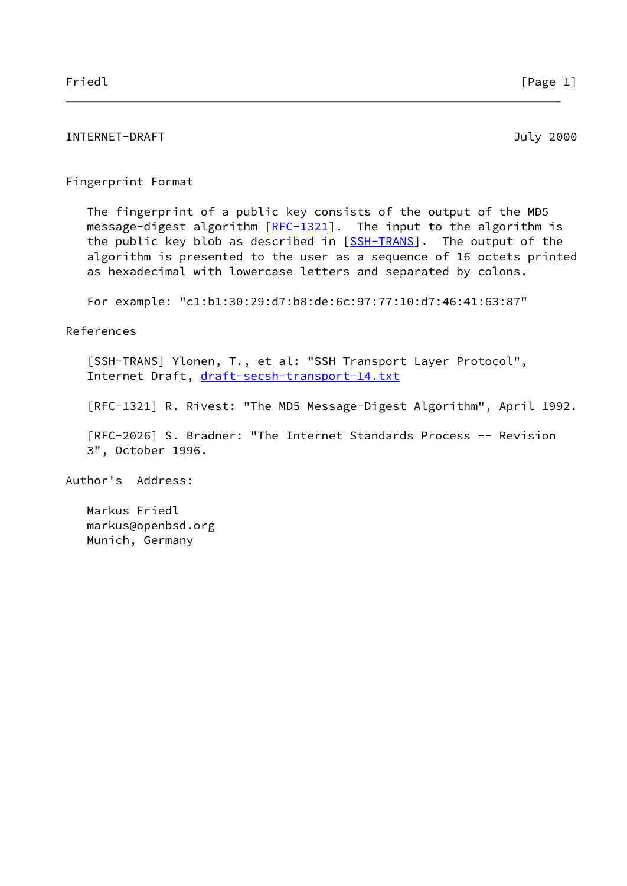# INTERNET-DRAFT 3000 and the state of the state of the state of the state of the state of the state of the state of the state of the state of the state of the state of the state of the state of the state of the state of the

## Fingerprint Format

 The fingerprint of a public key consists of the output of the MD5 message-digest algorithm  $[RFC-1321]$  $[RFC-1321]$ . The input to the algorithm is the public key blob as described in [\[SSH-TRANS](#page-1-0)]. The output of the algorithm is presented to the user as a sequence of 16 octets printed as hexadecimal with lowercase letters and separated by colons.

For example: "c1:b1:30:29:d7:b8:de:6c:97:77:10:d7:46:41:63:87"

## References

<span id="page-1-0"></span> [SSH-TRANS] Ylonen, T., et al: "SSH Transport Layer Protocol", Internet Draft, [draft-secsh-transport-14.txt](https://datatracker.ietf.org/doc/pdf/draft-secsh-transport-14.txt)

[RFC-1321] R. Rivest: "The MD5 Message-Digest Algorithm", April 1992.

 [RFC-2026] S. Bradner: "The Internet Standards Process -- Revision 3", October 1996.

Author's Address:

 Markus Friedl markus@openbsd.org Munich, Germany